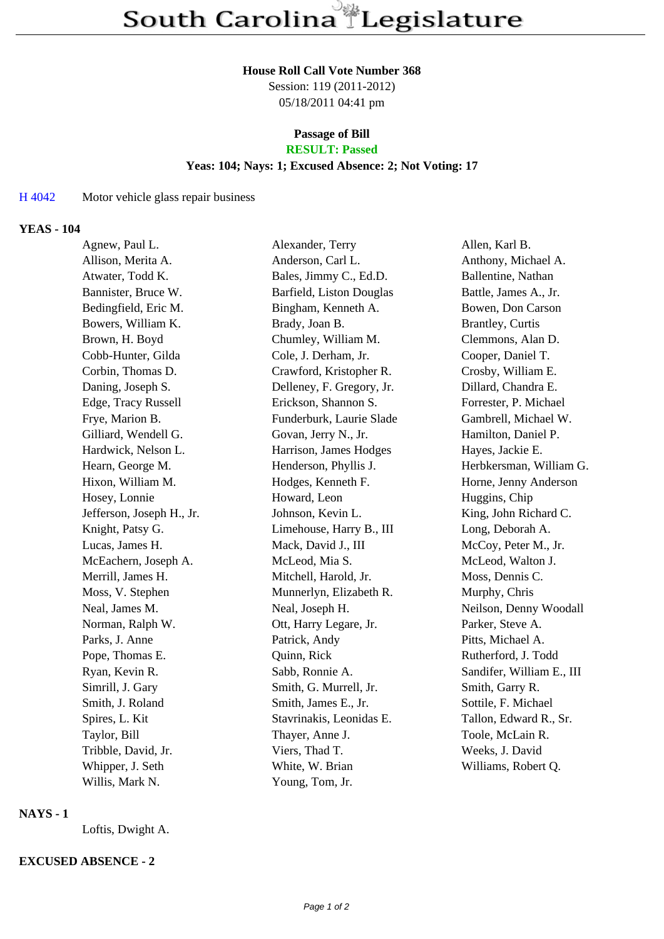#### **House Roll Call Vote Number 368**

Session: 119 (2011-2012) 05/18/2011 04:41 pm

### **Passage of Bill RESULT: Passed**

### **Yeas: 104; Nays: 1; Excused Absence: 2; Not Voting: 17**

## H 4042 Motor vehicle glass repair business

### **YEAS - 104**

| Agnew, Paul L.            | Alexander, Terry          | Allen, Karl B.            |
|---------------------------|---------------------------|---------------------------|
| Allison, Merita A.        | Anderson, Carl L.         | Anthony, Michael A.       |
| Atwater, Todd K.          | Bales, Jimmy C., Ed.D.    | Ballentine, Nathan        |
| Bannister, Bruce W.       | Barfield, Liston Douglas  | Battle, James A., Jr.     |
| Bedingfield, Eric M.      | Bingham, Kenneth A.       | Bowen, Don Carson         |
| Bowers, William K.        | Brady, Joan B.            | <b>Brantley</b> , Curtis  |
| Brown, H. Boyd            | Chumley, William M.       | Clemmons, Alan D.         |
| Cobb-Hunter, Gilda        | Cole, J. Derham, Jr.      | Cooper, Daniel T.         |
| Corbin, Thomas D.         | Crawford, Kristopher R.   | Crosby, William E.        |
| Daning, Joseph S.         | Delleney, F. Gregory, Jr. | Dillard, Chandra E.       |
| Edge, Tracy Russell       | Erickson, Shannon S.      | Forrester, P. Michael     |
| Frye, Marion B.           | Funderburk, Laurie Slade  | Gambrell, Michael W.      |
| Gilliard, Wendell G.      | Govan, Jerry N., Jr.      | Hamilton, Daniel P.       |
| Hardwick, Nelson L.       | Harrison, James Hodges    | Hayes, Jackie E.          |
| Hearn, George M.          | Henderson, Phyllis J.     | Herbkersman, William G.   |
| Hixon, William M.         | Hodges, Kenneth F.        | Horne, Jenny Anderson     |
| Hosey, Lonnie             | Howard, Leon              | Huggins, Chip             |
| Jefferson, Joseph H., Jr. | Johnson, Kevin L.         | King, John Richard C.     |
| Knight, Patsy G.          | Limehouse, Harry B., III  | Long, Deborah A.          |
| Lucas, James H.           | Mack, David J., III       | McCoy, Peter M., Jr.      |
| McEachern, Joseph A.      | McLeod, Mia S.            | McLeod, Walton J.         |
| Merrill, James H.         | Mitchell, Harold, Jr.     | Moss, Dennis C.           |
| Moss, V. Stephen          | Munnerlyn, Elizabeth R.   | Murphy, Chris             |
| Neal, James M.            | Neal, Joseph H.           | Neilson, Denny Woodall    |
| Norman, Ralph W.          | Ott, Harry Legare, Jr.    | Parker, Steve A.          |
| Parks, J. Anne            | Patrick, Andy             | Pitts, Michael A.         |
| Pope, Thomas E.           | Quinn, Rick               | Rutherford, J. Todd       |
| Ryan, Kevin R.            | Sabb, Ronnie A.           | Sandifer, William E., III |
| Simrill, J. Gary          | Smith, G. Murrell, Jr.    | Smith, Garry R.           |
| Smith, J. Roland          | Smith, James E., Jr.      | Sottile, F. Michael       |
| Spires, L. Kit            | Stavrinakis, Leonidas E.  | Tallon, Edward R., Sr.    |
| Taylor, Bill              | Thayer, Anne J.           | Toole, McLain R.          |
| Tribble, David, Jr.       | Viers, Thad T.            | Weeks, J. David           |
| Whipper, J. Seth          | White, W. Brian           | Williams, Robert Q.       |
| Willis, Mark N.           | Young, Tom, Jr.           |                           |

## **NAYS - 1**

Loftis, Dwight A.

# **EXCUSED ABSENCE - 2**